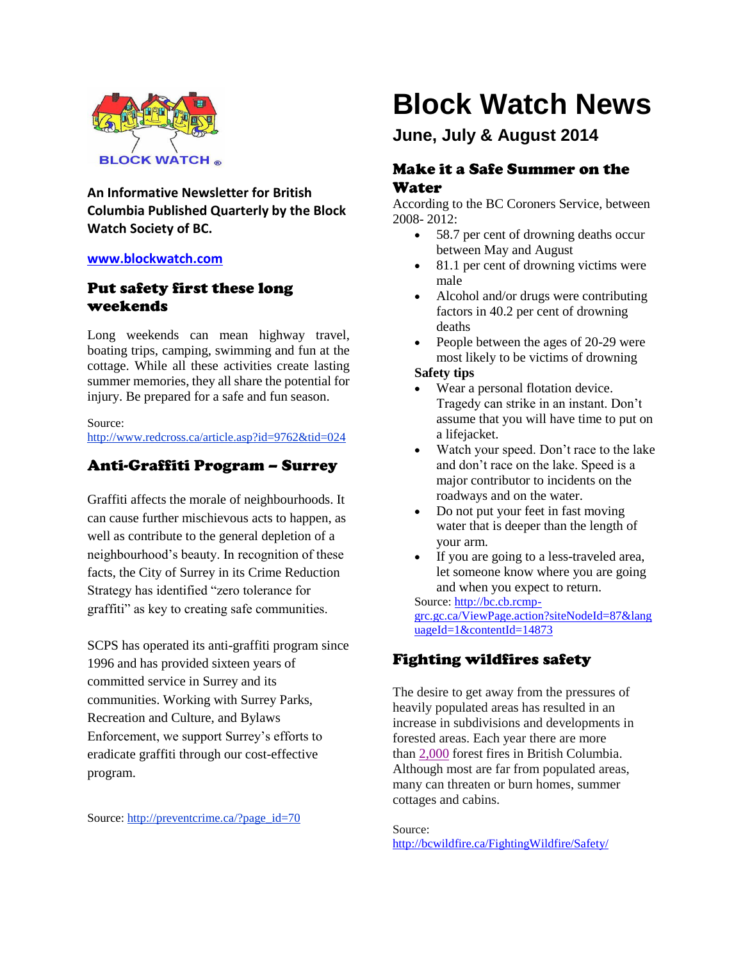

**An Informative Newsletter for British Columbia Published Quarterly by the Block Watch Society of BC.**

### **[www.blockwatch.com](http://www.blockwatch.com/)**

## Put safety first these long weekends

Long weekends can mean highway travel, boating trips, camping, swimming and fun at the cottage. While all these activities create lasting summer memories, they all share the potential for injury. Be prepared for a safe and fun season.

Source: http://www.redcross.ca/article.asp?id=9762&tid=024

## Anti-Graffiti Program – Surrey

Graffiti affects the morale of neighbourhoods. It can cause further mischievous acts to happen, as well as contribute to the general depletion of a neighbourhood's beauty. In recognition of these facts, the City of Surrey in its Crime Reduction Strategy has identified "zero tolerance for graffiti" as key to creating safe communities.

SCPS has operated its anti-graffiti program since 1996 and has provided sixteen years of committed service in Surrey and its communities. Working with Surrey Parks, Recreation and Culture, and Bylaws Enforcement, we support Surrey's efforts to eradicate graffiti through our cost-effective program.

Source: http://preventcrime.ca/?page\_id=70

# **Block Watch News**

# **June, July & August 2014**

## Make it a Safe Summer on the Water

According to the BC Coroners Service, between 2008- 2012:

- 58.7 per cent of drowning deaths occur between May and August
- 81.1 per cent of drowning victims were male
- Alcohol and/or drugs were contributing factors in 40.2 per cent of drowning deaths
- People between the ages of 20-29 were most likely to be victims of drowning

## **Safety tips**

- Wear a personal flotation device. Tragedy can strike in an instant. Don't assume that you will have time to put on a lifejacket.
- Watch your speed. Don't race to the lake and don't race on the lake. Speed is a major contributor to incidents on the roadways and on the water.
- Do not put your feet in fast moving water that is deeper than the length of your arm.
- If you are going to a less-traveled area, let someone know where you are going and when you expect to return.

Source[: http://bc.cb.rcmp](http://bc.cb.rcmp-grc.gc.ca/ViewPage.action?siteNodeId=87&languageId=1&contentId=14873)[grc.gc.ca/ViewPage.action?siteNodeId=87&lang](http://bc.cb.rcmp-grc.gc.ca/ViewPage.action?siteNodeId=87&languageId=1&contentId=14873) [uageId=1&contentId=14873](http://bc.cb.rcmp-grc.gc.ca/ViewPage.action?siteNodeId=87&languageId=1&contentId=14873)

## Fighting wildfires safety

The desire to get away from the pressures of heavily populated areas has resulted in an increase in subdivisions and developments in forested areas. Each year there are more than [2,000](http://bcwildfire.ca/History/average.htm) forest fires in British Columbia. Although most are far from populated areas, many can threaten or burn homes, summer cottages and cabins.

Source: <http://bcwildfire.ca/FightingWildfire/Safety/>